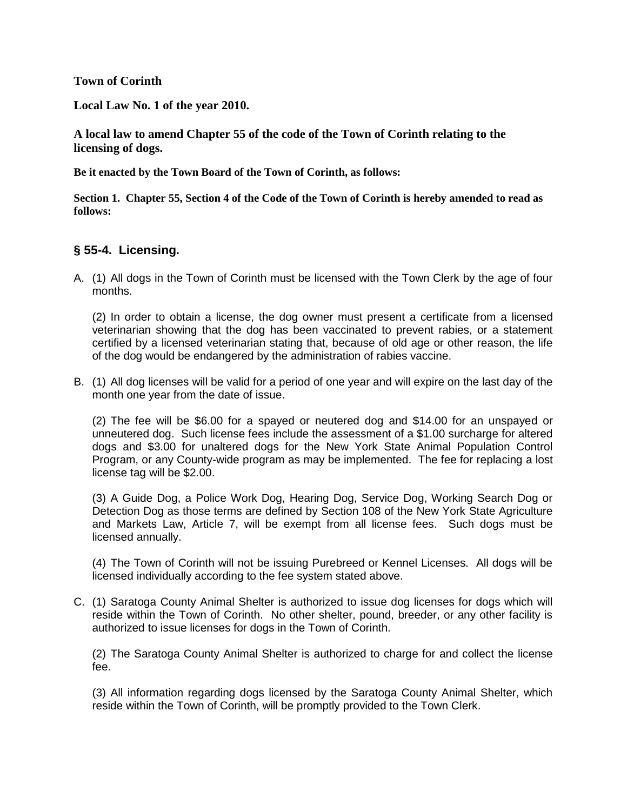**Town of Corinth**

**Local Law No. 1 of the year 2010.**

**A local law to amend Chapter 55 of the code of the Town of Corinth relating to the licensing of dogs.**

**Be it enacted by the Town Board of the Town of Corinth, as follows:**

**Section 1. Chapter 55, Section 4 of the Code of the Town of Corinth is hereby amended to read as follows:**

# **§ 55-4. Licensing.**

A. (1) All dogs in the Town of Corinth must be licensed with the Town Clerk by the age of four months.

(2) In order to obtain a license, the dog owner must present a certificate from a licensed veterinarian showing that the dog has been vaccinated to prevent rabies, or a statement certified by a licensed veterinarian stating that, because of old age or other reason, the life of the dog would be endangered by the administration of rabies vaccine.

B. (1) All dog licenses will be valid for a period of one year and will expire on the last day of the month one year from the date of issue.

(2) The fee will be \$6.00 for a spayed or neutered dog and \$14.00 for an unspayed or unneutered dog. Such license fees include the assessment of a \$1.00 surcharge for altered dogs and \$3.00 for unaltered dogs for the New York State Animal Population Control Program, or any County-wide program as may be implemented. The fee for replacing a lost license tag will be \$2.00.

(3) A Guide Dog, a Police Work Dog, Hearing Dog, Service Dog, Working Search Dog or Detection Dog as those terms are defined by Section 108 of the New York State Agriculture and Markets Law, Article 7, will be exempt from all license fees. Such dogs must be licensed annually.

(4) The Town of Corinth will not be issuing Purebreed or Kennel Licenses. All dogs will be licensed individually according to the fee system stated above.

C. (1) Saratoga County Animal Shelter is authorized to issue dog licenses for dogs which will reside within the Town of Corinth. No other shelter, pound, breeder, or any other facility is authorized to issue licenses for dogs in the Town of Corinth.

(2) The Saratoga County Animal Shelter is authorized to charge for and collect the license fee.

(3) All information regarding dogs licensed by the Saratoga County Animal Shelter, which reside within the Town of Corinth, will be promptly provided to the Town Clerk.